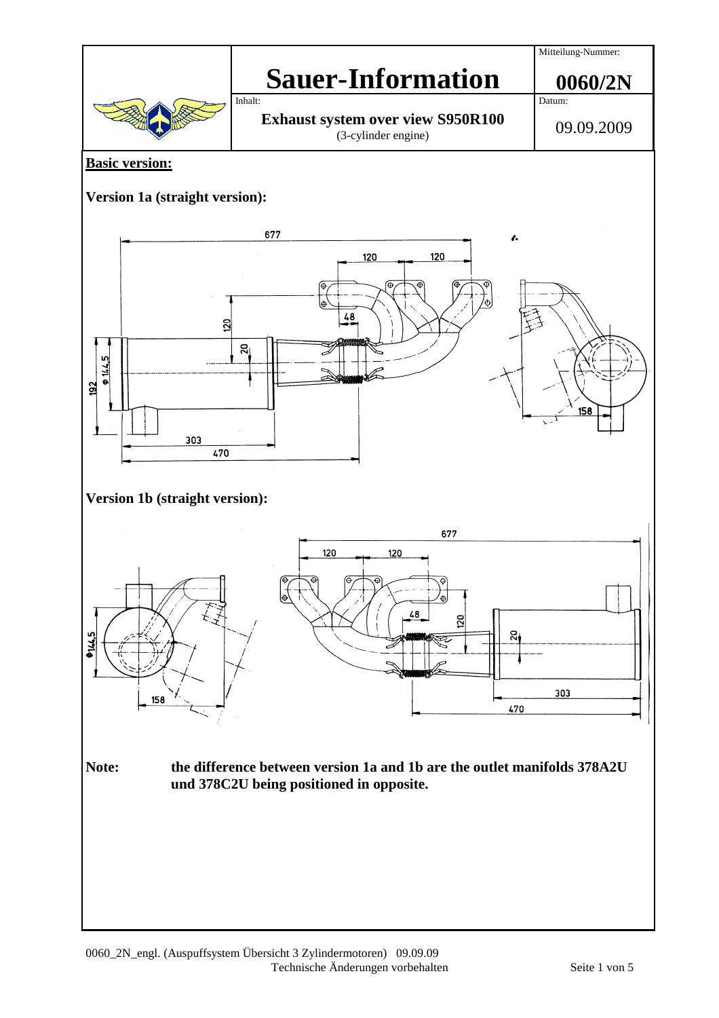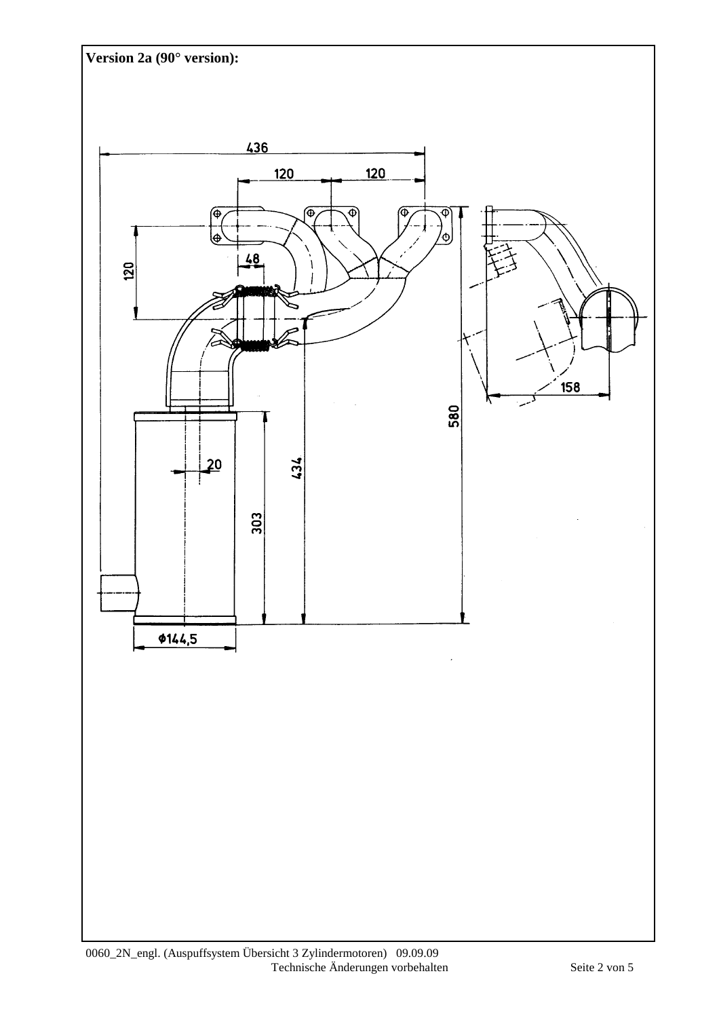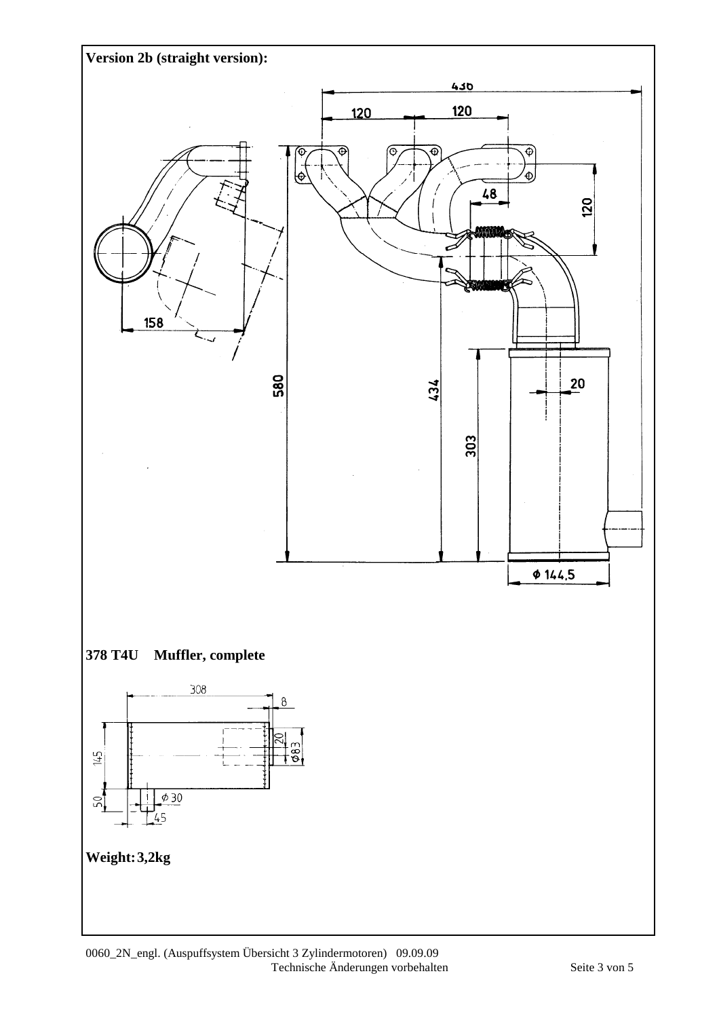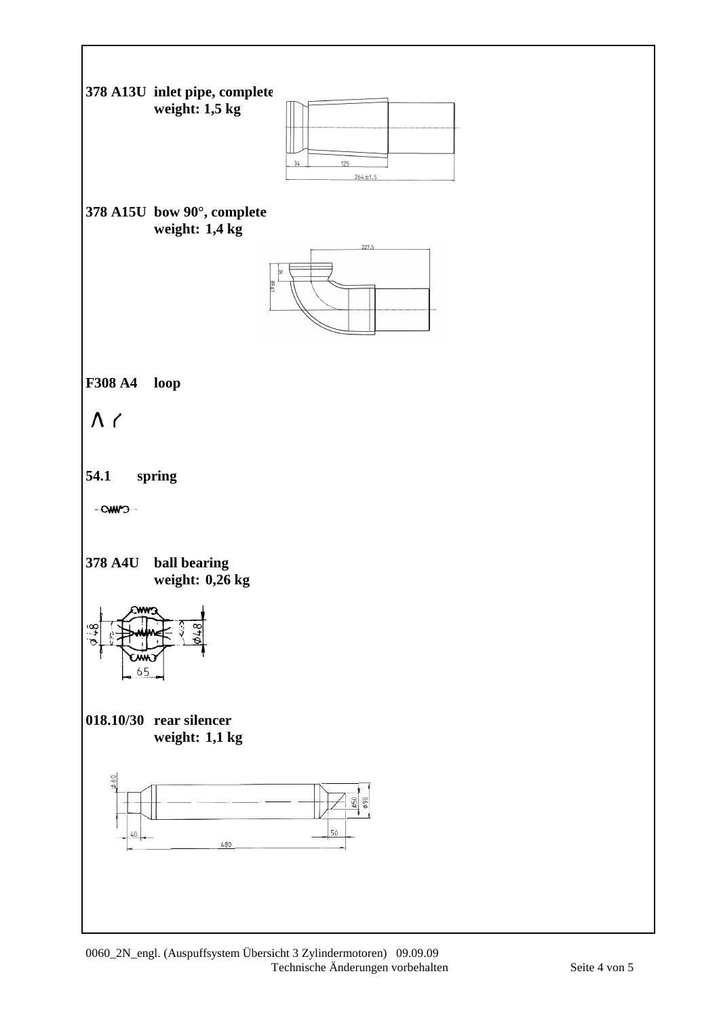